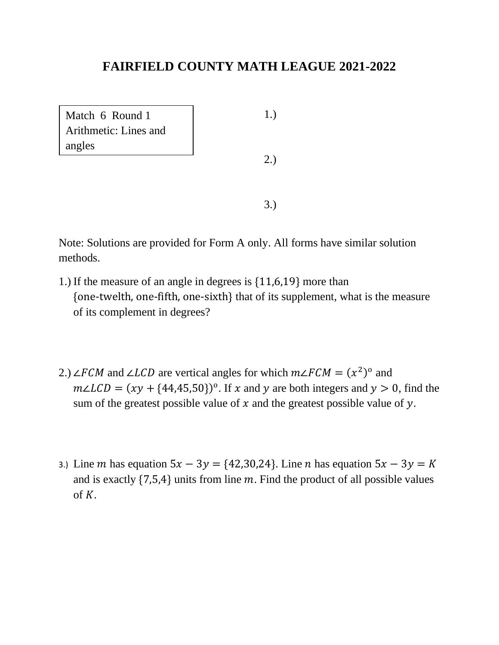| Match 6 Round 1<br>Arithmetic: Lines and | 1.) |  |
|------------------------------------------|-----|--|
| angles                                   | 2.) |  |
|                                          |     |  |

- 1.) If the measure of an angle in degrees is {11,6,19} more than {one-twelth, one-fifth, one-sixth} that of its supplement, what is the measure of its complement in degrees?
- 2.) ∠FCM and ∠LCD are vertical angles for which  $m\angle FCM = (x^2)^0$  and  $m\angle LCD = (xy + {44,45,50})^{\circ}$ . If x and y are both integers and  $y > 0$ , find the sum of the greatest possible value of  $x$  and the greatest possible value of  $y$ .
- 3.) Line *m* has equation  $5x 3y = \{42, 30, 24\}$ . Line *n* has equation  $5x 3y = K$ and is exactly  $\{7,5,4\}$  units from line m. Find the product of all possible values of  $K$ .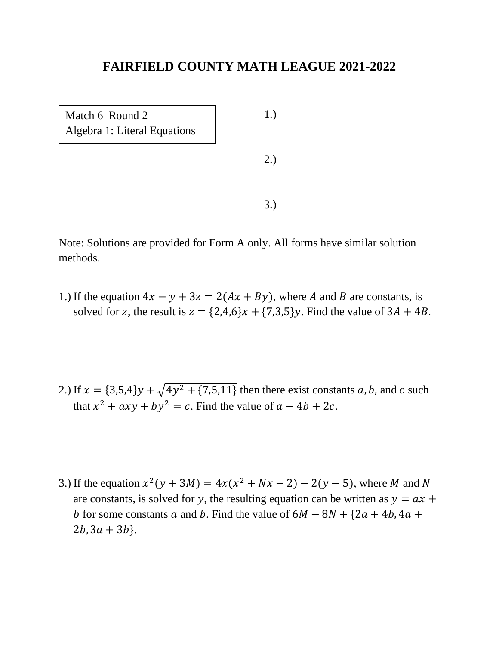1.) 2.) 3.) Match 6 Round 2 Algebra 1: Literal Equations

Note: Solutions are provided for Form A only. All forms have similar solution methods.

1.) If the equation  $4x - y + 3z = 2(Ax + By)$ , where A and B are constants, is solved for z, the result is  $z = \{2,4,6\}x + \{7,3,5\}y$ . Find the value of  $3A + 4B$ .

- 2.) If  $x = \{3,5,4\}y + \sqrt{4y^2 + \{7,5,11\}}$  then there exist constants a, b, and c such that  $x^2 + axy + by^2 = c$ . Find the value of  $a + 4b + 2c$ .
- 3.) If the equation  $x^2(y + 3M) = 4x(x^2 + Nx + 2) 2(y 5)$ , where M and N are constants, is solved for y, the resulting equation can be written as  $y = ax +$ b for some constants a and b. Find the value of  $6M - 8N + {2a + 4b, 4a + }$  $2b, 3a + 3b$ .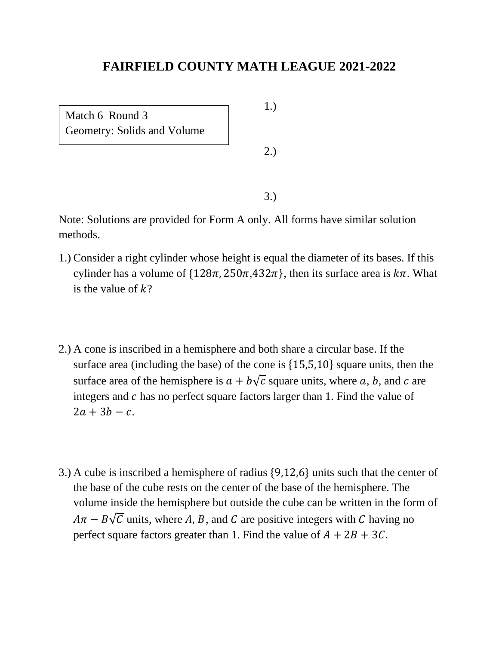Match 6 Round 3 Geometry: Solids and Volume 1.)

2.)

3.)

- 1.) Consider a right cylinder whose height is equal the diameter of its bases. If this cylinder has a volume of  $\{128\pi, 250\pi, 432\pi\}$ , then its surface area is  $k\pi$ . What is the value of  $k$ ?
- 2.) A cone is inscribed in a hemisphere and both share a circular base. If the surface area (including the base) of the cone is {15,5,10} square units, then the surface area of the hemisphere is  $a + b\sqrt{c}$  square units, where a, b, and c are integers and  $c$  has no perfect square factors larger than 1. Find the value of  $2a + 3b - c$ .
- 3.) A cube is inscribed a hemisphere of radius {9,12,6} units such that the center of the base of the cube rests on the center of the base of the hemisphere. The volume inside the hemisphere but outside the cube can be written in the form of  $A\pi - B\sqrt{C}$  units, where A, B, and C are positive integers with C having no perfect square factors greater than 1. Find the value of  $A + 2B + 3C$ .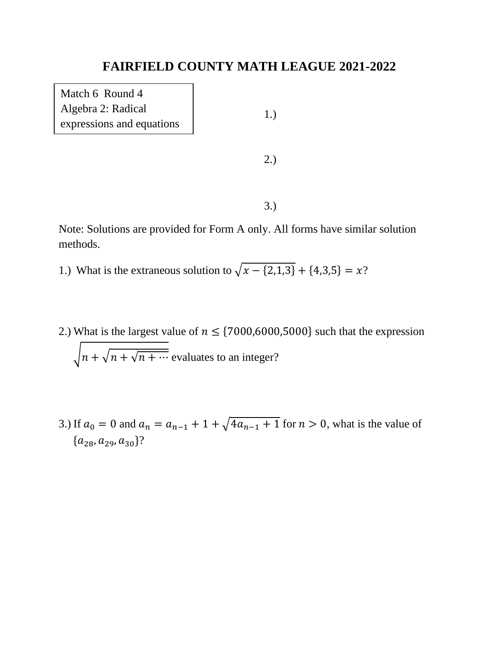Match 6 Round 4 Algebra 2: Radical expressions and equations

1.)

2.)

3.)

- 1.) What is the extraneous solution to  $\sqrt{x \{2, 1, 3\}} + \{4, 3, 5\} = x$ ?
- 2.) What is the largest value of  $n \leq \{7000,6000,5000\}$  such that the expression  $\sqrt{n + \sqrt{n + \cdots}}$  evaluates to an integer?
- 3.) If  $a_0 = 0$  and  $a_n = a_{n-1} + 1 + \sqrt{4a_{n-1} + 1}$  for  $n > 0$ , what is the value of  ${a_{28}, a_{29}, a_{30}}?$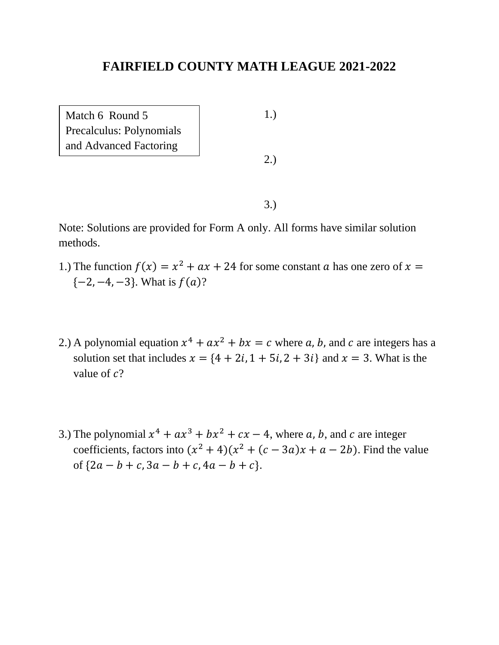Match 6 Round 5 Precalculus: Polynomials and Advanced Factoring

1.)

2.)

3.)

- 1.) The function  $f(x) = x^2 + ax + 24$  for some constant a has one zero of  $x =$  $\{-2, -4, -3\}$ . What is  $f(a)$ ?
- 2.) A polynomial equation  $x^4 + ax^2 + bx = c$  where a, b, and c are integers has a solution set that includes  $x = \{4 + 2i, 1 + 5i, 2 + 3i\}$  and  $x = 3$ . What is the value of  $c$ ?
- 3.) The polynomial  $x^4 + ax^3 + bx^2 + cx 4$ , where a, b, and c are integer coefficients, factors into  $(x^2 + 4)(x^2 + (c - 3a)x + a - 2b)$ . Find the value of  ${2a - b + c, 3a - b + c, 4a - b + c}.$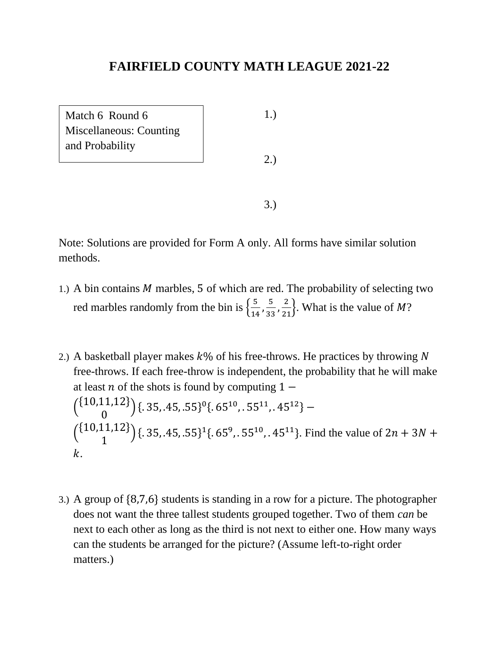| Match 6 Round 6                | 1.) |
|--------------------------------|-----|
| <b>Miscellaneous: Counting</b> |     |
| and Probability                |     |
|                                | 2.) |
|                                |     |
|                                |     |
|                                |     |

- 1.) A bin contains  $M$  marbles, 5 of which are red. The probability of selecting two red marbles randomly from the bin is  $\left\{\frac{5}{10}\right\}$  $\frac{5}{14}$ ,  $\frac{5}{33}$  $\frac{5}{33}, \frac{2}{21}$ . What is the value of *M*?
- 2.) A basketball player makes  $k\%$  of his free-throws. He practices by throwing N free-throws. If each free-throw is independent, the probability that he will make at least *n* of the shots is found by computing  $1 \binom{\{10,11,12\}}{2}$ 0  $({.}35, .45, .55)^0({.}65^{10}, .55^{11}, .45^{12})$  –  $\binom{\{10,11,12\}}{1}$ 1  $({1, 35, .45, .55}^{16}$  {  $(65^9, .55^{10}, .45^{11})$ }. Find the value of  $2n + 3N +$  $\mathbf{k}$ .
- 3.) A group of {8,7,6} students is standing in a row for a picture. The photographer does not want the three tallest students grouped together. Two of them *can* be next to each other as long as the third is not next to either one. How many ways can the students be arranged for the picture? (Assume left-to-right order matters.)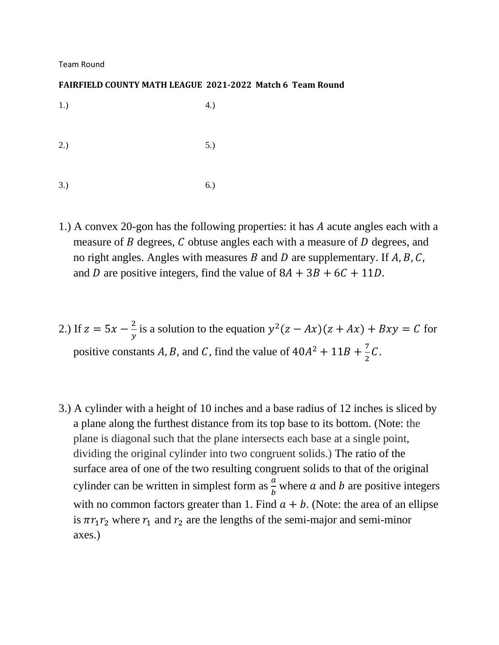Team Round

#### **FAIRFIELD COUNTY MATH LEAGUE 2021-2022 Match 6 Team Round**

 $1.)$  4.)  $2.)$  5.) 3.) 6.)

- 1.) A convex 20-gon has the following properties: it has A acute angles each with a measure of  $B$  degrees,  $C$  obtuse angles each with a measure of  $D$  degrees, and no right angles. Angles with measures  $B$  and  $D$  are supplementary. If  $A, B, C$ , and D are positive integers, find the value of  $8A + 3B + 6C + 11D$ .
- 2.) If  $z = 5x \frac{2}{x}$  $\frac{2}{y}$  is a solution to the equation  $y^2(z - Ax)(z + Ax) + Bxy = C$  for positive constants A, B, and C, find the value of  $40A^2 + 11B + \frac{7}{2}$  $rac{1}{2}C$ .
- 3.) A cylinder with a height of 10 inches and a base radius of 12 inches is sliced by a plane along the furthest distance from its top base to its bottom. (Note: the plane is diagonal such that the plane intersects each base at a single point, dividing the original cylinder into two congruent solids.) The ratio of the surface area of one of the two resulting congruent solids to that of the original cylinder can be written in simplest form as  $\frac{a}{b}$  where a and b are positive integers with no common factors greater than 1. Find  $a + b$ . (Note: the area of an ellipse is  $\pi r_1 r_2$  where  $r_1$  and  $r_2$  are the lengths of the semi-major and semi-minor axes.)